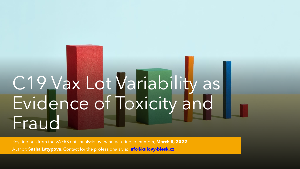# C19 Vax Lot Variability as Evidence of Toxicity and Fraud

Key findings from the VAERS data analysis by manufacturing lot number, **March 8, 2022** Author: **Sasha Latypova**, Contact for the professionals via: **info@kulovy-blesk.cz**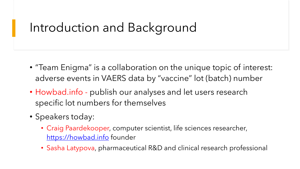## Introduction and Background

- "Team Enigma" is a collaboration on the unique topic of interest: adverse events in VAERS data by "vaccine" lot (batch) number
- Howbad.info publish our analyses and let users research specific lot numbers for themselves
- Speakers today:
	- Craig Paardekooper, computer scientist, life sciences researcher, [https://howbad.info](https://howbad.info/) founder
	- Sasha Latypova, pharmaceutical R&D and clinical research professional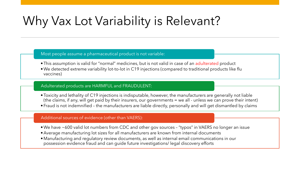## Why Vax Lot Variability is Relevant?

#### Most people assume a pharmaceutical product is not variable:

- •This assumption is valid for "normal" medicines, but is not valid in case of an adulterated product
- •We detected extreme variability lot-to-lot in C19 injections (compared to traditional products like flu vaccines)

#### Adulterated products are HARMFUL and FRAUDULENT:

•Toxicity and lethality of C19 injections is indisputable, however, the manufacturers are generally not liable (the claims, if any, will get paid by their insurers, our governments = we all - unless we can prove their intent) • Fraud is not indemnified – the manufacturers are liable directly, personally and will get dismantled by claims

#### Additional sources of evidence (other than VAERS):

- •We have ~600 valid lot numbers from CDC and other gov sources "typos" in VAERS no longer an issue
- Average manufacturing lot sizes for all manufacturers are known from internal documents
- •Manufacturing and regulatory review documents, as well as internal email communications in our possession evidence fraud and can guide future investigations/ legal discovery efforts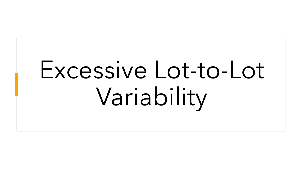# Excessive Lot-to-Lot Variability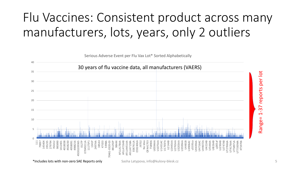## Flu Vaccines: Consistent product across many manufacturers, lots, years, only 2 outliers

Serious Adverse Event per Flu Vax Lot\* Sorted Alphabetically



-37 reports per lot Range= 1-37 reports per lot  $\overline{\phantom{0}}$ Range=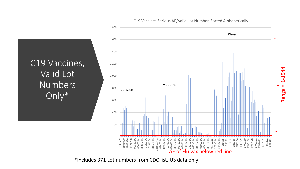

C19 Vaccines Serious AE/Valid Lot Number, Sorted Alphabetically

\*Includes 371 Lot numbers from CDC list, US data only

C19 Vaccines,

Valid Lot

Numbers

Only\*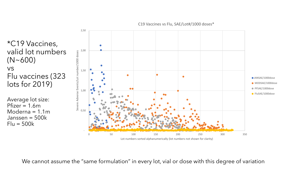C19 Vaccines vs Flu, SAE/Lot#/1000 doses\*

\*C19 Vaccines, valid lot numbers (N~600) vs Flu vaccines (323 lots for 2019)

Average lot size:  $Pfizer = 1.6m$ Moderna  $= 1.1$ m Janssen = 500k  $Flu = 500k$ 



We cannot assume the "same formulation" in every lot, vial or dose with this degree of variation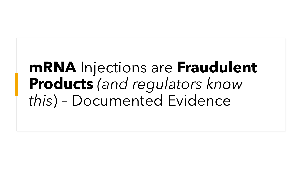# **mRNA** Injections are **Fraudulent Products** *(and regulators know this*) – Documented Evidence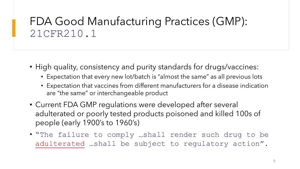#### FDA Good Manufacturing Practices (GMP): 21CFR210.1

- High quality, consistency and purity standards for drugs/vaccines:
	- Expectation that every new lot/batch is "almost the same" as all previous lots
	- Expectation that vaccines from different manufacturers for a disease indication are "the same" or interchangeable product
- Current FDA GMP regulations were developed after several adulterated or poorly tested products poisoned and killed 100s of people (early 1900's to 1960's)
- "The failure to comply …shall render such drug to be adulterated …shall be subject to regulatory action".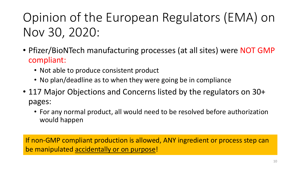# Opinion of the European Regulators (EMA) on Nov 30, 2020:

- Pfizer/BioNTech manufacturing processes (at all sites) were NOT GMP compliant:
	- Not able to produce consistent product
	- No plan/deadline as to when they were going be in compliance
- 117 Major Objections and Concerns listed by the regulators on 30+ pages:
	- For any normal product, all would need to be resolved before authorization would happen

If non-GMP compliant production is allowed, ANY ingredient or process step can be manipulated accidentally or on purpose!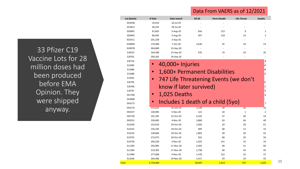#### Data From VAERS as of 12/2021

| Lot (batch)   | # Vials   | Date manuf              | All AE | <b>Perm Disabil</b>                   | <b>Life Threat</b> | <b>Deaths</b>                  |
|---------------|-----------|-------------------------|--------|---------------------------------------|--------------------|--------------------------------|
| ED3938        | 19,010    | 16-Jul-20               |        |                                       |                    |                                |
| EE3813        | 30,193    | 29-Jul-20               |        |                                       |                    |                                |
| EE8492        | 67,665    | 5-Aug-20                | 656    | 123                                   | 9                  | 2                              |
| EE8493        | 68,445    | 5-Aug-20                | 597    | 118                                   | 14                 | 2                              |
| EG5411        | 201,258   | 3-Sep-20                |        |                                       |                    |                                |
| EH9899        | 179,400   | 7-Oct-20                | 3,630  | 45                                    | 34                 | 23                             |
| EH9978        | 304,869   | 23-Sep-20               |        |                                       |                    |                                |
| EJ0553        | 164,580   | 25-Sep-20               | 476    | 74                                    | 19                 | 20                             |
| EJ0701        | 200,265   | 26-Sep-20               |        |                                       |                    |                                |
| EJ0724        |           |                         |        |                                       |                    | 8                              |
| EJ1685        |           | 40,000+ Injuries        |        |                                       |                    | 4                              |
| EJ1686        | $\bullet$ |                         |        |                                       |                    | 58                             |
| EJ1688        |           |                         |        | 1,600+ Permanent Disabilities         |                    | $\overline{2}$                 |
| EJ1691        | $\bullet$ |                         |        | 747 Life Threatening Events (we don't |                    |                                |
| EJ6795        |           |                         |        |                                       |                    | 17                             |
| EJ6796        |           | know if later survived) |        |                                       |                    | L5                             |
| EJ6797        |           |                         |        |                                       |                    | $^{\prime}3$                   |
| EK1768        |           | 1,025 Deaths            |        |                                       |                    | $\left\lfloor 4 \right\rfloor$ |
| <b>EK2808</b> |           |                         |        |                                       |                    |                                |
| EK4175        |           |                         |        | Includes 1 death of a child (5yo)     |                    | $\overline{7}$                 |
| EK4176        | 131,625   | 16-Oct-20               | 1,339  | 39                                    | 26                 | 34                             |
| EK4237        | 140,985   | 5-Nov-20                | 122    | 18                                    | $\mathbf{1}$       | 2                              |
| EK5730        | 191,295   | 22-Oct-20               | 4,102  | 37                                    | 40                 | 24                             |
| EK9231        | 230,685   | 4-Nov-20                | 3,860  | 63                                    | 46                 | 49                             |
| EL0140        | 155,610   | 29-Oct-20               | 1,856  | 24                                    | 28                 | 61                             |
| EL0141        | 156,195   | 29-Oct-20               | 499    | 68                                    | 12                 | 14                             |
| EL0142        | 138,060   | 29-Oct-20               | 1,802  | 28                                    | 36                 | 42                             |
| EL0725        | 272,073   | 30-Oct-20               | 919    | 68                                    | 20                 | 50                             |
| EL0739        | 294,239   | 3-Nov-20                | 1,023  | 131                                   | 33                 | 19                             |
| EL1283        | 245,895   | 11-Nov-20               | 2,492  | 48                                    | 51                 | 60                             |
| EL1284        | 214,305   | 17-Nov-20               | 2,790  | 40                                    | 34                 | 45                             |
| EL1484        | 277,608   | 4-Nov-20                | 1,478  | 152                                   | 32                 | 37                             |
| EL3246        | 204,360   | 19-Nov-20               | 2,417  | 54                                    | 24                 | 43                             |
| Total         | 5,724,844 |                         | 40,097 | 1,614                                 | 747                | 1,025                          |

33 Pfizer C19 Vaccine Lots for 28 million doses had been produced before EMA Opinion. They were shipped anyway.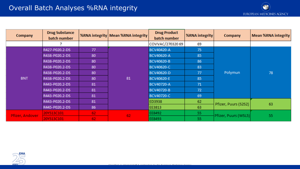| <b>Company</b>  | <b>Drug Substance</b><br>batch number |    | %RNA integrity   Mean %RNA integrity | <b>Drug Product</b><br>batch number | %RNA integrity | <b>Company</b>       | <b>Mean %RNA integrity</b> |
|-----------------|---------------------------------------|----|--------------------------------------|-------------------------------------|----------------|----------------------|----------------------------|
|                 |                                       |    |                                      | COVVAC/270320 69                    | 69             |                      |                            |
|                 | R427-P020.2-DS                        | 77 | 81                                   | BCV40420-A                          | 75             | Polymun              | 78                         |
|                 | R438-P020.2-DS                        | 80 |                                      | BCV40620-A                          | 85             |                      |                            |
|                 | R438-P020.2-DS                        | 80 |                                      | BCV40620-B                          | 86             |                      |                            |
|                 | R438-P020.2-DS                        | 80 |                                      | BCV40620-C                          | 83             |                      |                            |
|                 | R438-P020.2-DS                        | 80 |                                      | BCV40620-D                          | 77             |                      |                            |
| <b>BNT</b>      | R438-P020.2-DS                        | 80 |                                      | BCV40620-E                          | 85             |                      |                            |
|                 | R443-P020.2-DS                        | 81 |                                      | BCV40720-A                          | 71             |                      |                            |
|                 | R443-P020.2-DS                        | 81 |                                      | BCV40720-B                          | 72             |                      |                            |
|                 | R443-P020.2-DS                        | 81 |                                      | BCV40720-C                          | 69             |                      |                            |
|                 | R443-P020.2-DS                        | 81 |                                      | ED3938                              | 62             | Pfizer, Puurs (S2S2) | 63                         |
|                 | R445-P020.2-DS                        | 86 |                                      | EE3813                              | 63             |                      |                            |
| Pfizer, Andover | 20Y513C101                            | 62 | 62                                   | EE8492                              | 55             | Pfizer, Puurs (WSL5) | 55                         |
|                 | 20Y513C101                            | 62 |                                      | EE8493                              | 55             |                      |                            |

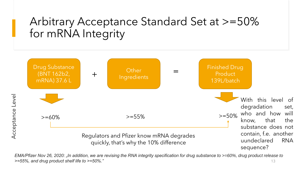#### Arbitrary Acceptance Standard Set at >=50% for mRNA Integrity



*EMA/Pfizer Nov 26, 2020: "In addition, we are revising the RNA integrity specification for drug substance to >=60%, drug product release to >=55%, and drug product shelf life to >=50%."* 13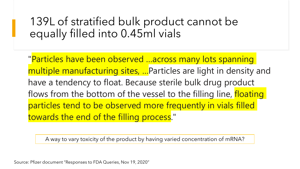#### 139L of stratified bulk product cannot be equally filled into 0.45ml vials

"Particles have been observed …across many lots spanning multiple manufacturing sites, …Particles are light in density and have a tendency to float. Because sterile bulk drug product flows from the bottom of the vessel to the filling line, floating particles tend to be observed more frequently in vials filled towards the end of the filling process."

A way to vary toxicity of the product by having varied concentration of mRNA?

Source: Pfizer document "Responses to FDA Queries, Nov 19, 2020"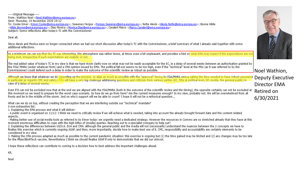-----Original Message-----From: Wathion Noel <Noel.Wathion@ema.europa.eu> Sent: Thursday, 19 November 2020 19:12 To: Cooke Emer <Emer.Cooke@ema.europa.eu>: Sweeney Fergus <Fergus.Sweeney@ema.europa.eu>: Nolte Alexis <Alexis.Nolte@ema.europa.eu>: Boone Hilde <Hilde.Boone@ema.europa.eu>: Dias Monica <Monica.Dias@ema.europa.eu>: Cavaleri Marco <Marco.Cavaleri@ema.europa.eu> Subject: Some reflections after today's TC with the Commissioner

#### Dear all,

Since Alexis and Monica were no longer connected when we had our short discussion after today's TC with the Commissioner, a brief summary of what I already said together with some additional reflections.

As a minimum we can say that the TC was interesting, the atmosphere was rather tense, at times even a bit unpleasant, and provides a hint on what EMA may expect if the expectations are not being met, irrespective if such expectations are realistic or not.

The real added value of today's TC in my view is that we have more clarity now on what may not be easily acceptable for the EC, ie a delay of several weeks between an authorisation granted by the FDA/ MHRA (under whatever form) and a CMA opinion issued by EMA. The political fall-out seems to be too high, even if the "technical" level at the MSs (as it was referred to by the Commissioner) could defend such a delay in order to make the outcome of the scientific review as robust as possible.

Although we know that whatever we do (speeding up the process to align as much as possible with the "approval" timing by FDA/MHRA versus taking the time needed to have robust assurance in particular as regards CMC and safety) EMA will have a very big challenge addressing questions and criticism from various parties (EC, MSs at political level, EP, media, the general public) in case of a delay of several weeks.

Even if it can not be excluded now that at the end we are aligned with the FDA/MHRA (both in the outcome of the scientific review and the timing), the opposite certainly can not be excluded at this moment so we need to prepare for the worst case scenario. So how do we go from here? Are the current measures enough? In my view, probably not. We will be overwhelmed from all fronts and be in the middle of the storm. And on who's support will we be able to count? I hope it will not be a rethorical question...

What can we do on top, without creating the perception that we are interfering outside our "technical" mandate? A non-exhaustive list:

1. Explaining the EMA process and what it will deliver:

- A public event is organised on 11/12: I think we need to critically review if we will achieve what is needed, taking into account the already brought forward date and the content related aspects.

- Making better use of social media tools as referred to by Emer today: we urgently need a dedicated strategy. However the resources in Comms are so stretched already that they have at this moment enormous difficulties to cope with the high influx of (media) queries. Reaching out to a specialist company to help out?

2. Explaining the differences between US/U.K. EUA and CMA: although the general public and the media will not (necessarily) understand the nuances between the 2 concepts we have to finalise this exercise which is currently ongoing ASAP, and then, more importantly, decide how to make best use of it. CMC, responsibility and accountability are certainly elements to be considered in my view.

3. Making the CMA process adapted as much as possible to the current pandemic situation: this exercise is ongoing but (1) the time gained may be limited and (2) any changes may be too late for the Pfizer/BioNTech vaccine. Nevertheless I think we should finalise ASAP if only to demonstrate that we did our utmost.

I hope these reflections can contribute to coming to a decision how to best address the important challenges ahead.

KR,

Noel



Noel Wathion, Deputy Executive Director EMA Retired on 6/30/2021